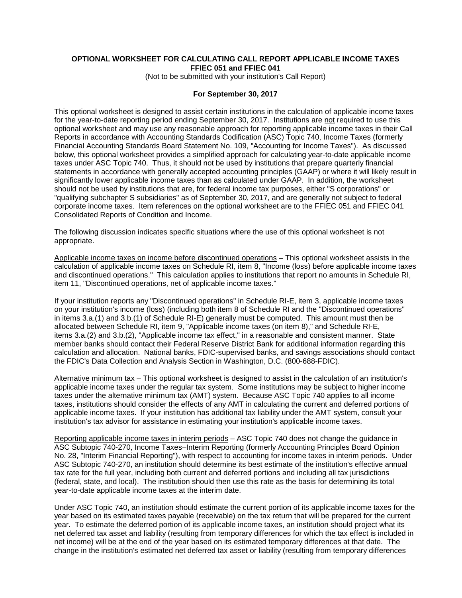# **OPTIONAL WORKSHEET FOR CALCULATING CALL REPORT APPLICABLE INCOME TAXES FFIEC 051 and FFIEC 041**

(Not to be submitted with your institution's Call Report)

## **For September 30, 2017**

This optional worksheet is designed to assist certain institutions in the calculation of applicable income taxes for the year-to-date reporting period ending September 30, 2017. Institutions are not required to use this optional worksheet and may use any reasonable approach for reporting applicable income taxes in their Call Reports in accordance with Accounting Standards Codification (ASC) Topic 740, Income Taxes (formerly Financial Accounting Standards Board Statement No. 109, "Accounting for Income Taxes"). As discussed below, this optional worksheet provides a simplified approach for calculating year-to-date applicable income taxes under ASC Topic 740. Thus, it should not be used by institutions that prepare quarterly financial statements in accordance with generally accepted accounting principles (GAAP) or where it will likely result in significantly lower applicable income taxes than as calculated under GAAP. In addition, the worksheet should not be used by institutions that are, for federal income tax purposes, either "S corporations" or "qualifying subchapter S subsidiaries" as of September 30, 2017, and are generally not subject to federal corporate income taxes. Item references on the optional worksheet are to the FFIEC 051 and FFIEC 041 Consolidated Reports of Condition and Income.

The following discussion indicates specific situations where the use of this optional worksheet is not appropriate.

Applicable income taxes on income before discontinued operations – This optional worksheet assists in the calculation of applicable income taxes on Schedule RI, item 8, "Income (loss) before applicable income taxes and discontinued operations." This calculation applies to institutions that report no amounts in Schedule RI, item 11, "Discontinued operations, net of applicable income taxes."

If your institution reports any "Discontinued operations" in Schedule RI-E, item 3, applicable income taxes on your institution's income (loss) (including both item 8 of Schedule RI and the "Discontinued operations" in items 3.a.(1) and 3.b.(1) of Schedule RI-E) generally must be computed. This amount must then be allocated between Schedule RI, item 9, "Applicable income taxes (on item 8)," and Schedule RI-E, items 3.a.(2) and 3.b.(2), "Applicable income tax effect," in a reasonable and consistent manner. State member banks should contact their Federal Reserve District Bank for additional information regarding this calculation and allocation. National banks, FDIC-supervised banks, and savings associations should contact the FDIC's Data Collection and Analysis Section in Washington, D.C. (800-688-FDIC).

Alternative minimum tax – This optional worksheet is designed to assist in the calculation of an institution's applicable income taxes under the regular tax system. Some institutions may be subject to higher income taxes under the alternative minimum tax (AMT) system. Because ASC Topic 740 applies to all income taxes, institutions should consider the effects of any AMT in calculating the current and deferred portions of applicable income taxes. If your institution has additional tax liability under the AMT system, consult your institution's tax advisor for assistance in estimating your institution's applicable income taxes.

Reporting applicable income taxes in interim periods – ASC Topic 740 does not change the guidance in ASC Subtopic 740-270, Income Taxes–Interim Reporting (formerly Accounting Principles Board Opinion No. 28, "Interim Financial Reporting"), with respect to accounting for income taxes in interim periods. Under ASC Subtopic 740-270, an institution should determine its best estimate of the institution's effective annual tax rate for the full year, including both current and deferred portions and including all tax jurisdictions (federal, state, and local). The institution should then use this rate as the basis for determining its total year-to-date applicable income taxes at the interim date.

Under ASC Topic 740, an institution should estimate the current portion of its applicable income taxes for the year based on its estimated taxes payable (receivable) on the tax return that will be prepared for the current year. To estimate the deferred portion of its applicable income taxes, an institution should project what its net deferred tax asset and liability (resulting from temporary differences for which the tax effect is included in net income) will be at the end of the year based on its estimated temporary differences at that date. The change in the institution's estimated net deferred tax asset or liability (resulting from temporary differences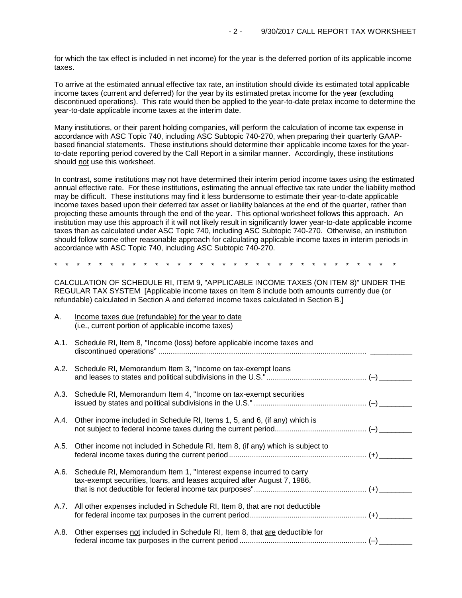for which the tax effect is included in net income) for the year is the deferred portion of its applicable income taxes.

To arrive at the estimated annual effective tax rate, an institution should divide its estimated total applicable income taxes (current and deferred) for the year by its estimated pretax income for the year (excluding discontinued operations). This rate would then be applied to the year-to-date pretax income to determine the year-to-date applicable income taxes at the interim date.

Many institutions, or their parent holding companies, will perform the calculation of income tax expense in accordance with ASC Topic 740, including ASC Subtopic 740-270, when preparing their quarterly GAAPbased financial statements. These institutions should determine their applicable income taxes for the yearto-date reporting period covered by the Call Report in a similar manner. Accordingly, these institutions should not use this worksheet.

In contrast, some institutions may not have determined their interim period income taxes using the estimated annual effective rate. For these institutions, estimating the annual effective tax rate under the liability method may be difficult. These institutions may find it less burdensome to estimate their year-to-date applicable income taxes based upon their deferred tax asset or liability balances at the end of the quarter, rather than projecting these amounts through the end of the year. This optional worksheet follows this approach. An institution may use this approach if it will not likely result in significantly lower year-to-date applicable income taxes than as calculated under ASC Topic 740, including ASC Subtopic 740-270. Otherwise, an institution should follow some other reasonable approach for calculating applicable income taxes in interim periods in accordance with ASC Topic 740, including ASC Subtopic 740-270.

\* \* \* \* \* \* \* \* \* \* \* \* \* \* \* \* \* \* \* \* \* \* \* \* \* \* \* \* \* \* \*

CALCULATION OF SCHEDULE RI, ITEM 9, "APPLICABLE INCOME TAXES (ON ITEM 8)" UNDER THE REGULAR TAX SYSTEM [Applicable income taxes on Item 8 include both amounts currently due (or refundable) calculated in Section A and deferred income taxes calculated in Section B.]

| А.   | Income taxes due (refundable) for the year to date<br>(i.e., current portion of applicable income taxes)                                       |  |
|------|------------------------------------------------------------------------------------------------------------------------------------------------|--|
| A.1. | Schedule RI, Item 8, "Income (loss) before applicable income taxes and                                                                         |  |
|      | A.2. Schedule RI, Memorandum Item 3, "Income on tax-exempt loans                                                                               |  |
|      | A.3. Schedule RI, Memorandum Item 4, "Income on tax-exempt securities                                                                          |  |
|      | A.4. Other income included in Schedule RI, Items 1, 5, and 6, (if any) which is                                                                |  |
| A.5. | Other income not included in Schedule RI, Item 8, (if any) which is subject to                                                                 |  |
| A.6. | Schedule RI, Memorandum Item 1, "Interest expense incurred to carry<br>tax-exempt securities, loans, and leases acquired after August 7, 1986, |  |
|      | A.7. All other expenses included in Schedule RI, Item 8, that are not deductible                                                               |  |
| A.8. | Other expenses not included in Schedule RI, Item 8, that are deductible for                                                                    |  |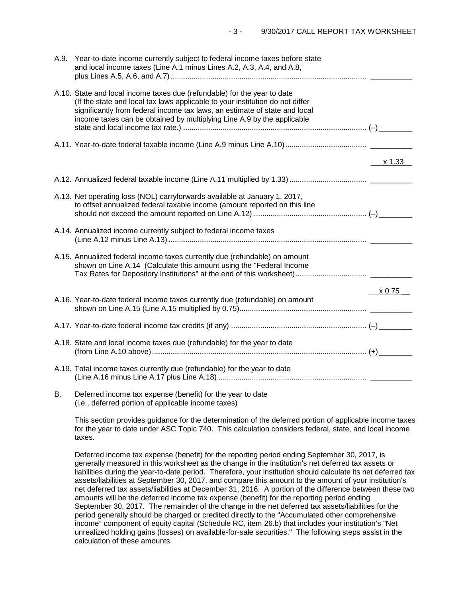| A.9. | Year-to-date income currently subject to federal income taxes before state<br>and local income taxes (Line A.1 minus Lines A.2, A.3, A.4, and A.8,                                                                                                                                                                |        |
|------|-------------------------------------------------------------------------------------------------------------------------------------------------------------------------------------------------------------------------------------------------------------------------------------------------------------------|--------|
|      | A.10. State and local income taxes due (refundable) for the year to date<br>(If the state and local tax laws applicable to your institution do not differ<br>significantly from federal income tax laws, an estimate of state and local<br>income taxes can be obtained by multiplying Line A.9 by the applicable |        |
|      |                                                                                                                                                                                                                                                                                                                   |        |
|      |                                                                                                                                                                                                                                                                                                                   | x 1.33 |
|      |                                                                                                                                                                                                                                                                                                                   |        |
|      | A.13. Net operating loss (NOL) carryforwards available at January 1, 2017,<br>to offset annualized federal taxable income (amount reported on this line                                                                                                                                                           |        |
|      | A.14. Annualized income currently subject to federal income taxes                                                                                                                                                                                                                                                 |        |
|      | A.15. Annualized federal income taxes currently due (refundable) on amount<br>shown on Line A.14 (Calculate this amount using the "Federal Income                                                                                                                                                                 |        |
|      |                                                                                                                                                                                                                                                                                                                   | x 0.75 |
|      | A.16. Year-to-date federal income taxes currently due (refundable) on amount                                                                                                                                                                                                                                      |        |
|      |                                                                                                                                                                                                                                                                                                                   |        |
|      | A.18. State and local income taxes due (refundable) for the year to date                                                                                                                                                                                                                                          |        |
|      | A.19. Total income taxes currently due (refundable) for the year to date                                                                                                                                                                                                                                          |        |
| В.   | Deferred income tax expense (benefit) for the year to date                                                                                                                                                                                                                                                        |        |

(i.e., deferred portion of applicable income taxes)

This section provides guidance for the determination of the deferred portion of applicable income taxes for the year to date under ASC Topic 740. This calculation considers federal, state, and local income taxes.

Deferred income tax expense (benefit) for the reporting period ending September 30, 2017, is generally measured in this worksheet as the change in the institution's net deferred tax assets or liabilities during the year-to-date period. Therefore, your institution should calculate its net deferred tax assets/liabilities at September 30, 2017, and compare this amount to the amount of your institution's net deferred tax assets/liabilities at December 31, 2016. A portion of the difference between these two amounts will be the deferred income tax expense (benefit) for the reporting period ending September 30, 2017. The remainder of the change in the net deferred tax assets/liabilities for the period generally should be charged or credited directly to the "Accumulated other comprehensive income" component of equity capital (Schedule RC, item 26.b) that includes your institution's "Net unrealized holding gains (losses) on available-for-sale securities." The following steps assist in the calculation of these amounts.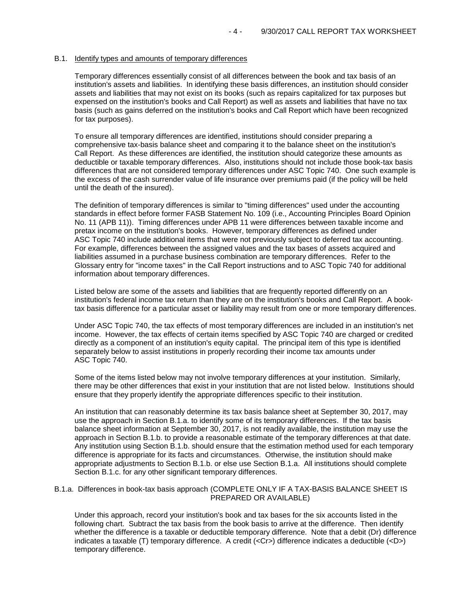## B.1. Identify types and amounts of temporary differences

Temporary differences essentially consist of all differences between the book and tax basis of an institution's assets and liabilities. In identifying these basis differences, an institution should consider assets and liabilities that may not exist on its books (such as repairs capitalized for tax purposes but expensed on the institution's books and Call Report) as well as assets and liabilities that have no tax basis (such as gains deferred on the institution's books and Call Report which have been recognized for tax purposes).

To ensure all temporary differences are identified, institutions should consider preparing a comprehensive tax-basis balance sheet and comparing it to the balance sheet on the institution's Call Report. As these differences are identified, the institution should categorize these amounts as deductible or taxable temporary differences. Also, institutions should not include those book-tax basis differences that are not considered temporary differences under ASC Topic 740. One such example is the excess of the cash surrender value of life insurance over premiums paid (if the policy will be held until the death of the insured).

The definition of temporary differences is similar to "timing differences" used under the accounting standards in effect before former FASB Statement No. 109 (i.e., Accounting Principles Board Opinion No. 11 (APB 11)). Timing differences under APB 11 were differences between taxable income and pretax income on the institution's books. However, temporary differences as defined under ASC Topic 740 include additional items that were not previously subject to deferred tax accounting. For example, differences between the assigned values and the tax bases of assets acquired and liabilities assumed in a purchase business combination are temporary differences. Refer to the Glossary entry for "income taxes" in the Call Report instructions and to ASC Topic 740 for additional information about temporary differences.

Listed below are some of the assets and liabilities that are frequently reported differently on an institution's federal income tax return than they are on the institution's books and Call Report. A booktax basis difference for a particular asset or liability may result from one or more temporary differences.

Under ASC Topic 740, the tax effects of most temporary differences are included in an institution's net income. However, the tax effects of certain items specified by ASC Topic 740 are charged or credited directly as a component of an institution's equity capital. The principal item of this type is identified separately below to assist institutions in properly recording their income tax amounts under ASC Topic 740.

Some of the items listed below may not involve temporary differences at your institution. Similarly, there may be other differences that exist in your institution that are not listed below. Institutions should ensure that they properly identify the appropriate differences specific to their institution.

An institution that can reasonably determine its tax basis balance sheet at September 30, 2017, may use the approach in Section B.1.a. to identify some of its temporary differences. If the tax basis balance sheet information at September 30, 2017, is not readily available, the institution may use the approach in Section B.1.b. to provide a reasonable estimate of the temporary differences at that date. Any institution using Section B.1.b. should ensure that the estimation method used for each temporary difference is appropriate for its facts and circumstances. Otherwise, the institution should make appropriate adjustments to Section B.1.b. or else use Section B.1.a. All institutions should complete Section B.1.c. for any other significant temporary differences.

## B.1.a. Differences in book-tax basis approach (COMPLETE ONLY IF A TAX-BASIS BALANCE SHEET IS PREPARED OR AVAILABLE)

Under this approach, record your institution's book and tax bases for the six accounts listed in the following chart. Subtract the tax basis from the book basis to arrive at the difference. Then identify whether the difference is a taxable or deductible temporary difference. Note that a debit (Dr) difference indicates a taxable (T) temporary difference. A credit (<Cr>) difference indicates a deductible (<D>) temporary difference.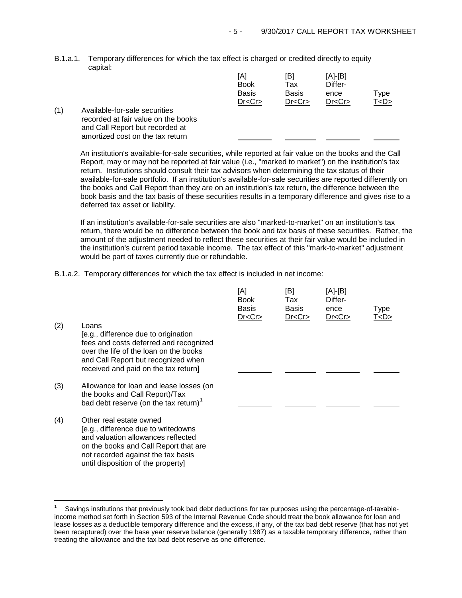B.1.a.1. Temporary differences for which the tax effect is charged or credited directly to equity capital:

|     |                                                                                                                                             | [A]<br><b>Book</b><br><b>Basis</b><br>Dr < Cr | [B]<br>Tax<br>Basis<br>Dr < Cr | $[A]-[B]$<br>Differ-<br>ence<br>Dr < Cr | Type<br>T < D > |
|-----|---------------------------------------------------------------------------------------------------------------------------------------------|-----------------------------------------------|--------------------------------|-----------------------------------------|-----------------|
| (1) | Available-for-sale securities<br>recorded at fair value on the books<br>and Call Report but recorded at<br>amortized cost on the tax return |                                               |                                |                                         |                 |

An institution's available-for-sale securities, while reported at fair value on the books and the Call Report, may or may not be reported at fair value (i.e., "marked to market") on the institution's tax return. Institutions should consult their tax advisors when determining the tax status of their available-for-sale portfolio. If an institution's available-for-sale securities are reported differently on the books and Call Report than they are on an institution's tax return, the difference between the book basis and the tax basis of these securities results in a temporary difference and gives rise to a deferred tax asset or liability.

If an institution's available-for-sale securities are also "marked-to-market" on an institution's tax return, there would be no difference between the book and tax basis of these securities. Rather, the amount of the adjustment needed to reflect these securities at their fair value would be included in the institution's current period taxable income. The tax effect of this "mark-to-market" adjustment would be part of taxes currently due or refundable.

B.1.a.2. Temporary differences for which the tax effect is included in net income:

|     |                                                                                                                                                                                                                           | [A]<br><b>Book</b><br><b>Basis</b><br>Dr < Cr | [B]<br>Tax<br><b>Basis</b><br>Dr < Cr | [A]-[B]<br>Differ-<br>ence<br><u>Dr<cr></cr></u> | Type<br><u>T<d></d></u> |
|-----|---------------------------------------------------------------------------------------------------------------------------------------------------------------------------------------------------------------------------|-----------------------------------------------|---------------------------------------|--------------------------------------------------|-------------------------|
| (2) | Loans<br>[e.g., difference due to origination<br>fees and costs deferred and recognized<br>over the life of the loan on the books<br>and Call Report but recognized when<br>received and paid on the tax return]          |                                               |                                       |                                                  |                         |
| (3) | Allowance for loan and lease losses (on<br>the books and Call Report)/Tax<br>bad debt reserve (on the tax return) <sup>1</sup>                                                                                            |                                               |                                       |                                                  |                         |
| (4) | Other real estate owned<br>[e.g., difference due to writedowns<br>and valuation allowances reflected<br>on the books and Call Report that are<br>not recorded against the tax basis<br>until disposition of the property] |                                               |                                       |                                                  |                         |

<span id="page-4-0"></span> $\overline{1}$ 1 Savings institutions that previously took bad debt deductions for tax purposes using the percentage-of-taxableincome method set forth in Section 593 of the Internal Revenue Code should treat the book allowance for loan and lease losses as a deductible temporary difference and the excess, if any, of the tax bad debt reserve (that has not yet been recaptured) over the base year reserve balance (generally 1987) as a taxable temporary difference, rather than treating the allowance and the tax bad debt reserve as one difference.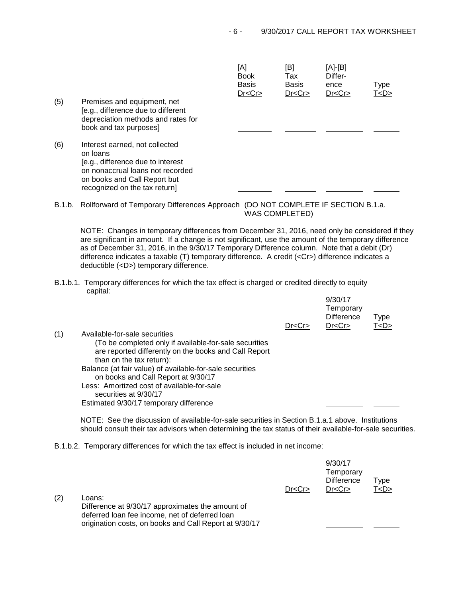|     |                                                                                                                                                                                      | [A]<br><b>Book</b><br><b>Basis</b><br>Dr < Cr | [B]<br>Tax<br><b>Basis</b><br>Dr < Cr | [A]-[B]<br>Differ-<br>ence<br>Dr < Cr | <b>Type</b><br>T < D > |
|-----|--------------------------------------------------------------------------------------------------------------------------------------------------------------------------------------|-----------------------------------------------|---------------------------------------|---------------------------------------|------------------------|
| (5) | Premises and equipment, net<br>[e.g., difference due to different<br>depreciation methods and rates for<br>book and tax purposes]                                                    |                                               |                                       |                                       |                        |
| (6) | Interest earned, not collected<br>on loans<br>[e.g., difference due to interest<br>on nonaccrual loans not recorded<br>on books and Call Report but<br>recognized on the tax return] |                                               |                                       |                                       |                        |

B.1.b. Rollforward of Temporary Differences Approach (DO NOT COMPLETE IF SECTION B.1.a. WAS COMPLETED)

NOTE: Changes in temporary differences from December 31, 2016, need only be considered if they are significant in amount. If a change is not significant, use the amount of the temporary difference as of December 31, 2016, in the 9/30/17 Temporary Difference column. Note that a debit (Dr) difference indicates a taxable (T) temporary difference. A credit (<Cr>) difference indicates a deductible (<D>) temporary difference.

B.1.b.1. Temporary differences for which the tax effect is charged or credited directly to equity capital:

|     |                                                          |         | 9/30/17<br>Temporary<br><b>Difference</b> | <b>Type</b> |  |
|-----|----------------------------------------------------------|---------|-------------------------------------------|-------------|--|
|     |                                                          | Dr < Cr | Dr < Cr                                   | T < D >     |  |
| (1) | Available-for-sale securities                            |         |                                           |             |  |
|     | (To be completed only if available-for-sale securities   |         |                                           |             |  |
|     | are reported differently on the books and Call Report    |         |                                           |             |  |
|     | than on the tax return):                                 |         |                                           |             |  |
|     | Balance (at fair value) of available-for-sale securities |         |                                           |             |  |
|     | on books and Call Report at 9/30/17                      |         |                                           |             |  |
|     | Less: Amortized cost of available-for-sale               |         |                                           |             |  |
|     | securities at 9/30/17                                    |         |                                           |             |  |
|     | Estimated 9/30/17 temporary difference                   |         |                                           |             |  |
|     |                                                          |         |                                           |             |  |

NOTE: See the discussion of available-for-sale securities in Section B.1.a.1 above. Institutions should consult their tax advisors when determining the tax status of their available-for-sale securities.

 $0/20/17$ 

B.1.b.2. Temporary differences for which the tax effect is included in net income:

|     |                                                                                                                                                                        | Dr < Cr | <i>טו</i> ט <i>וט</i><br>Temporary<br><b>Difference</b><br>Dr < Cr | Type<br>T <d></d> |  |
|-----|------------------------------------------------------------------------------------------------------------------------------------------------------------------------|---------|--------------------------------------------------------------------|-------------------|--|
| (2) | Loans:<br>Difference at 9/30/17 approximates the amount of<br>deferred loan fee income, net of deferred loan<br>origination costs, on books and Call Report at 9/30/17 |         |                                                                    |                   |  |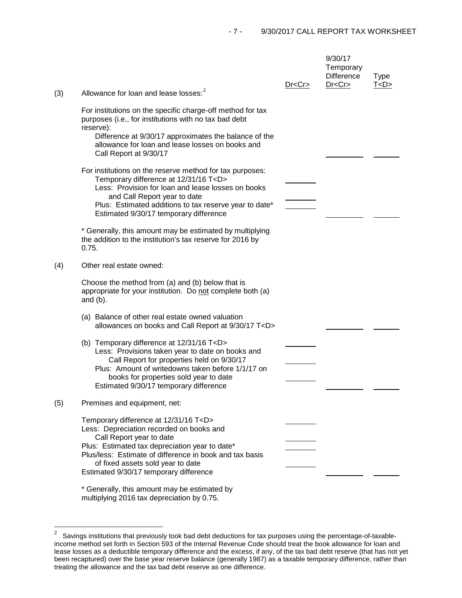| (3) | Allowance for loan and lease losses: <sup>2</sup>                                                                                                                                                                                                                                                                    | Dr < Cr | 9/30/17<br>Temporary<br><b>Difference</b><br>Dr < Cr | <b>Type</b><br><u>T<d></d></u> |
|-----|----------------------------------------------------------------------------------------------------------------------------------------------------------------------------------------------------------------------------------------------------------------------------------------------------------------------|---------|------------------------------------------------------|--------------------------------|
|     | For institutions on the specific charge-off method for tax<br>purposes (i.e., for institutions with no tax bad debt                                                                                                                                                                                                  |         |                                                      |                                |
|     | reserve):<br>Difference at 9/30/17 approximates the balance of the<br>allowance for loan and lease losses on books and<br>Call Report at 9/30/17                                                                                                                                                                     |         |                                                      |                                |
|     | For institutions on the reserve method for tax purposes:<br>Temporary difference at 12/31/16 T <d><br/>Less: Provision for loan and lease losses on books<br/>and Call Report year to date<br/>Plus: Estimated additions to tax reserve year to date*<br/>Estimated 9/30/17 temporary difference</d>                 |         |                                                      |                                |
|     | * Generally, this amount may be estimated by multiplying<br>the addition to the institution's tax reserve for 2016 by<br>0.75.                                                                                                                                                                                       |         |                                                      |                                |
| (4) | Other real estate owned:                                                                                                                                                                                                                                                                                             |         |                                                      |                                |
|     | Choose the method from (a) and (b) below that is<br>appropriate for your institution. Do not complete both (a)<br>and $(b)$ .                                                                                                                                                                                        |         |                                                      |                                |
|     | (a) Balance of other real estate owned valuation<br>allowances on books and Call Report at 9/30/17 T <d></d>                                                                                                                                                                                                         |         |                                                      |                                |
|     | (b) Temporary difference at 12/31/16 T <d><br/>Less: Provisions taken year to date on books and<br/>Call Report for properties held on 9/30/17<br/>Plus: Amount of writedowns taken before 1/1/17 on<br/>books for properties sold year to date<br/>Estimated 9/30/17 temporary difference</d>                       |         |                                                      |                                |
| (5) | Premises and equipment, net:                                                                                                                                                                                                                                                                                         |         |                                                      |                                |
|     | Temporary difference at 12/31/16 T <d><br/>Less: Depreciation recorded on books and<br/>Call Report year to date<br/>Plus: Estimated tax depreciation year to date*<br/>Plus/less: Estimate of difference in book and tax basis<br/>of fixed assets sold year to date<br/>Estimated 9/30/17 temporary difference</d> |         |                                                      |                                |
|     | * Generally, this amount may be estimated by                                                                                                                                                                                                                                                                         |         |                                                      |                                |

multiplying 2016 tax depreciation by 0.75.

<span id="page-6-0"></span> $\overline{\mathbf{c}}$ 2 Savings institutions that previously took bad debt deductions for tax purposes using the percentage-of-taxableincome method set forth in Section 593 of the Internal Revenue Code should treat the book allowance for loan and lease losses as a deductible temporary difference and the excess, if any, of the tax bad debt reserve (that has not yet been recaptured) over the base year reserve balance (generally 1987) as a taxable temporary difference, rather than treating the allowance and the tax bad debt reserve as one difference.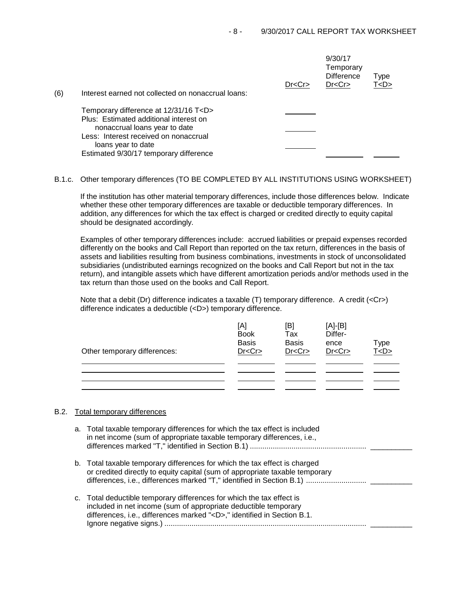|     |                                                                                                                                                                                                                                     | Dr < Cr | 9/30/17<br>Temporary<br><b>Difference</b><br>Dr < Cr | Type<br>T < D > |
|-----|-------------------------------------------------------------------------------------------------------------------------------------------------------------------------------------------------------------------------------------|---------|------------------------------------------------------|-----------------|
| (6) | Interest earned not collected on nonaccrual loans:                                                                                                                                                                                  |         |                                                      |                 |
|     | Temporary difference at 12/31/16 T <d><br/>Plus: Estimated additional interest on<br/>nonaccrual loans year to date<br/>Less: Interest received on nonaccrual<br/>loans year to date<br/>Estimated 9/30/17 temporary difference</d> |         |                                                      |                 |

B.1.c. Other temporary differences (TO BE COMPLETED BY ALL INSTITUTIONS USING WORKSHEET)

If the institution has other material temporary differences, include those differences below. Indicate whether these other temporary differences are taxable or deductible temporary differences. In addition, any differences for which the tax effect is charged or credited directly to equity capital should be designated accordingly.

Examples of other temporary differences include: accrued liabilities or prepaid expenses recorded differently on the books and Call Report than reported on the tax return, differences in the basis of assets and liabilities resulting from business combinations, investments in stock of unconsolidated subsidiaries (undistributed earnings recognized on the books and Call Report but not in the tax return), and intangible assets which have different amortization periods and/or methods used in the tax return than those used on the books and Call Report.

Note that a debit (Dr) difference indicates a taxable (T) temporary difference. A credit (<Cr>> difference indicates a deductible (<D>) temporary difference.

| Other temporary differences: | [A]<br><b>Book</b><br><b>Basis</b><br>Dr < Cr | [B]<br>Tax<br><b>Basis</b><br>Dr < Cr | $[A]-[B]$<br>Differ-<br>ence<br>Dr < Cr | Type<br><u>T<d></d></u> |
|------------------------------|-----------------------------------------------|---------------------------------------|-----------------------------------------|-------------------------|
|                              |                                               |                                       |                                         |                         |
|                              |                                               |                                       |                                         |                         |
|                              |                                               |                                       |                                         |                         |
|                              |                                               |                                       |                                         |                         |

## B.2. Total temporary differences

a. Total taxable temporary differences for which the tax effect is included in net income (sum of appropriate taxable temporary differences, i.e., differences marked "T," identified in Section B.1) ........................................................ \_\_\_\_\_\_\_\_\_\_ b. Total taxable temporary differences for which the tax effect is charged or credited directly to equity capital (sum of appropriate taxable temporary differences, i.e., differences marked "T," identified in Section B.1) ............................. \_\_\_\_\_\_\_\_\_\_ c. Total deductible temporary differences for which the tax effect is included in net income (sum of appropriate deductible temporary differences, i.e., differences marked "<D>," identified in Section B.1.

Ignore negative signs.) ................................................................................................. \_\_\_\_\_\_\_\_\_\_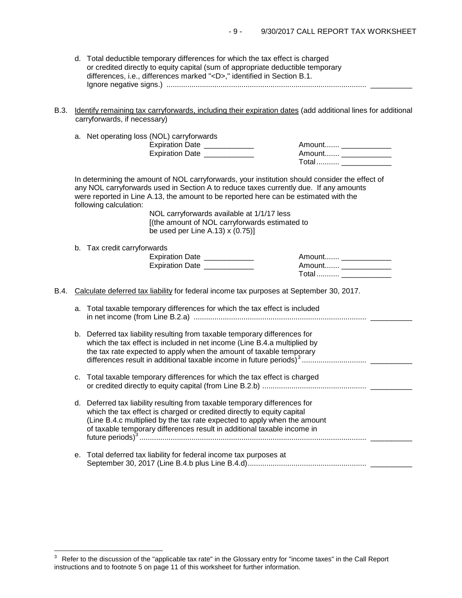- d. Total deductible temporary differences for which the tax effect is charged or credited directly to equity capital (sum of appropriate deductible temporary differences, i.e., differences marked "<D>," identified in Section B.1. Ignore negative signs.) ................................................................................................ \_\_\_\_\_\_\_\_\_\_
- B.3. Identify remaining tax carryforwards, including their expiration dates (add additional lines for additional carryforwards, if necessary)

|  | a. Net operating loss (NOL) carryforwards |  |  |
|--|-------------------------------------------|--|--|
|--|-------------------------------------------|--|--|

Expiration Date \_\_\_\_\_\_\_\_\_\_\_\_ Expiration Date \_\_\_\_\_\_\_\_\_\_\_\_\_

| Amount……. |  |
|-----------|--|
| Amount    |  |
| Total     |  |

In determining the amount of NOL carryforwards, your institution should consider the effect of any NOL carryforwards used in Section A to reduce taxes currently due. If any amounts were reported in Line A.13, the amount to be reported here can be estimated with the following calculation:

> NOL carryforwards available at 1/1/17 less [(the amount of NOL carryforwards estimated to be used per Line A.13) x (0.75)]

b. Tax credit carryforwards

| <b>Expiration Date</b> | Amount  |
|------------------------|---------|
| <b>Expiration Date</b> | Amount  |
|                        | $Total$ |

B.4. Calculate deferred tax liability for federal income tax purposes at September 30, 2017.

| a. Total taxable temporary differences for which the tax effect is included |  |
|-----------------------------------------------------------------------------|--|
|                                                                             |  |

- b. Deferred tax liability resulting from taxable temporary differences for which the tax effect is included in net income (Line B.4.a multiplied by the tax rate expected to apply when the amount of taxable temporary differences result in additional taxable income in future periods)[3](#page-8-0) ............................... \_\_\_\_\_\_\_\_\_\_
- c. Total taxable temporary differences for which the tax effect is charged or credited directly to equity capital (from Line B.2.b) .................................................. \_\_\_\_\_\_\_\_\_\_
- d. Deferred tax liability resulting from taxable temporary differences for which the tax effect is charged or credited directly to equity capital (Line B.4.c multiplied by the tax rate expected to apply when the amount of taxable temporary differences result in additional taxable income in future periods)<sup>3</sup> ............................................................................................................. \_\_\_\_\_\_\_\_\_\_

e. Total deferred tax liability for federal income tax purposes at September 30, 2017 (Line B.4.b plus Line B.4.d)......................................................... \_\_\_\_\_\_\_\_\_\_

<span id="page-8-0"></span> $\ensuremath{\mathsf{3}}$ 3 Refer to the discussion of the "applicable tax rate" in the Glossary entry for "income taxes" in the Call Report instructions and to footnote 5 on page 11 of this worksheet for further information.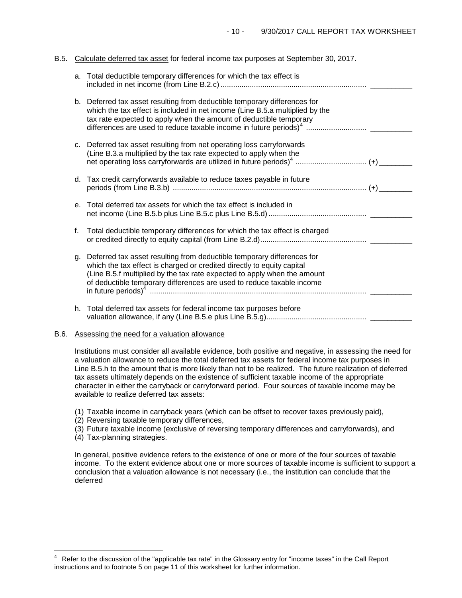# B.5. Calculate deferred tax asset for federal income tax purposes at September 30, 2017.

| a.      | Total deductible temporary differences for which the tax effect is                                                                                                                                                                                                                                    |  |
|---------|-------------------------------------------------------------------------------------------------------------------------------------------------------------------------------------------------------------------------------------------------------------------------------------------------------|--|
|         | b. Deferred tax asset resulting from deductible temporary differences for<br>which the tax effect is included in net income (Line B.5.a multiplied by the<br>tax rate expected to apply when the amount of deductible temporary                                                                       |  |
|         | c. Deferred tax asset resulting from net operating loss carryforwards<br>(Line B.3.a multiplied by the tax rate expected to apply when the                                                                                                                                                            |  |
|         | d. Tax credit carryforwards available to reduce taxes payable in future                                                                                                                                                                                                                               |  |
| $e_{1}$ | Total deferred tax assets for which the tax effect is included in                                                                                                                                                                                                                                     |  |
| f.      | Total deductible temporary differences for which the tax effect is charged                                                                                                                                                                                                                            |  |
| q.      | Deferred tax asset resulting from deductible temporary differences for<br>which the tax effect is charged or credited directly to equity capital<br>(Line B.5.f multiplied by the tax rate expected to apply when the amount<br>of deductible temporary differences are used to reduce taxable income |  |
|         | h. Total deferred tax assets for federal income tax purposes before                                                                                                                                                                                                                                   |  |

## B.6. Assessing the need for a valuation allowance

Institutions must consider all available evidence, both positive and negative, in assessing the need for a valuation allowance to reduce the total deferred tax assets for federal income tax purposes in Line B.5.h to the amount that is more likely than not to be realized. The future realization of deferred tax assets ultimately depends on the existence of sufficient taxable income of the appropriate character in either the carryback or carryforward period. Four sources of taxable income may be available to realize deferred tax assets:

- (1) Taxable income in carryback years (which can be offset to recover taxes previously paid),
- (2) Reversing taxable temporary differences,
- (3) Future taxable income (exclusive of reversing temporary differences and carryforwards), and
- (4) Tax-planning strategies.

In general, positive evidence refers to the existence of one or more of the four sources of taxable income. To the extent evidence about one or more sources of taxable income is sufficient to support a conclusion that a valuation allowance is not necessary (i.e., the institution can conclude that the deferred

<span id="page-9-0"></span> $\frac{1}{4}$ Refer to the discussion of the "applicable tax rate" in the Glossary entry for "income taxes" in the Call Report instructions and to footnote 5 on page 11 of this worksheet for further information.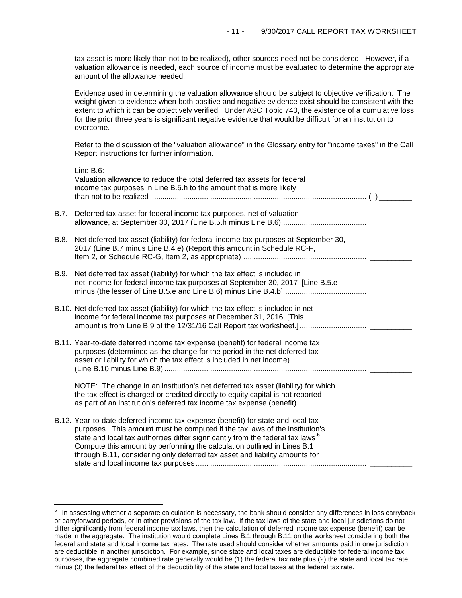tax asset is more likely than not to be realized), other sources need not be considered. However, if a valuation allowance is needed, each source of income must be evaluated to determine the appropriate amount of the allowance needed.

Evidence used in determining the valuation allowance should be subject to objective verification. The weight given to evidence when both positive and negative evidence exist should be consistent with the extent to which it can be objectively verified. Under ASC Topic 740, the existence of a cumulative loss for the prior three years is significant negative evidence that would be difficult for an institution to overcome.

Refer to the discussion of the "valuation allowance" in the Glossary entry for "income taxes" in the Call Report instructions for further information.

|      | Line B.6:<br>Valuation allowance to reduce the total deferred tax assets for federal<br>income tax purposes in Line B.5.h to the amount that is more likely                                                                                                                                                                                                                                                              |
|------|--------------------------------------------------------------------------------------------------------------------------------------------------------------------------------------------------------------------------------------------------------------------------------------------------------------------------------------------------------------------------------------------------------------------------|
| B.7. | Deferred tax asset for federal income tax purposes, net of valuation                                                                                                                                                                                                                                                                                                                                                     |
| B.8. | Net deferred tax asset (liability) for federal income tax purposes at September 30,<br>2017 (Line B.7 minus Line B.4.e) (Report this amount in Schedule RC-F,                                                                                                                                                                                                                                                            |
| B.9. | Net deferred tax asset (liability) for which the tax effect is included in<br>net income for federal income tax purposes at September 30, 2017 [Line B.5.e                                                                                                                                                                                                                                                               |
|      | B.10. Net deferred tax asset (liability) for which the tax effect is included in net<br>income for federal income tax purposes at December 31, 2016 [This                                                                                                                                                                                                                                                                |
|      | B.11. Year-to-date deferred income tax expense (benefit) for federal income tax<br>purposes (determined as the change for the period in the net deferred tax<br>asset or liability for which the tax effect is included in net income)                                                                                                                                                                                   |
|      | NOTE: The change in an institution's net deferred tax asset (liability) for which<br>the tax effect is charged or credited directly to equity capital is not reported<br>as part of an institution's deferred tax income tax expense (benefit).                                                                                                                                                                          |
|      | B.12. Year-to-date deferred income tax expense (benefit) for state and local tax<br>purposes. This amount must be computed if the tax laws of the institution's<br>state and local tax authorities differ significantly from the federal tax laws <sup>5</sup><br>Compute this amount by performing the calculation outlined in Lines B.1<br>through B.11, considering only deferred tax asset and liability amounts for |

<span id="page-10-0"></span> $\frac{1}{\epsilon}$  $5$  In assessing whether a separate calculation is necessary, the bank should consider any differences in loss carryback or carryforward periods, or in other provisions of the tax law. If the tax laws of the state and local jurisdictions do not differ significantly from federal income tax laws, then the calculation of deferred income tax expense (benefit) can be made in the aggregate. The institution would complete Lines B.1 through B.11 on the worksheet considering both the federal and state and local income tax rates. The rate used should consider whether amounts paid in one jurisdiction are deductible in another jurisdiction. For example, since state and local taxes are deductible for federal income tax purposes, the aggregate combined rate generally would be (1) the federal tax rate plus (2) the state and local tax rate minus (3) the federal tax effect of the deductibility of the state and local taxes at the federal tax rate.